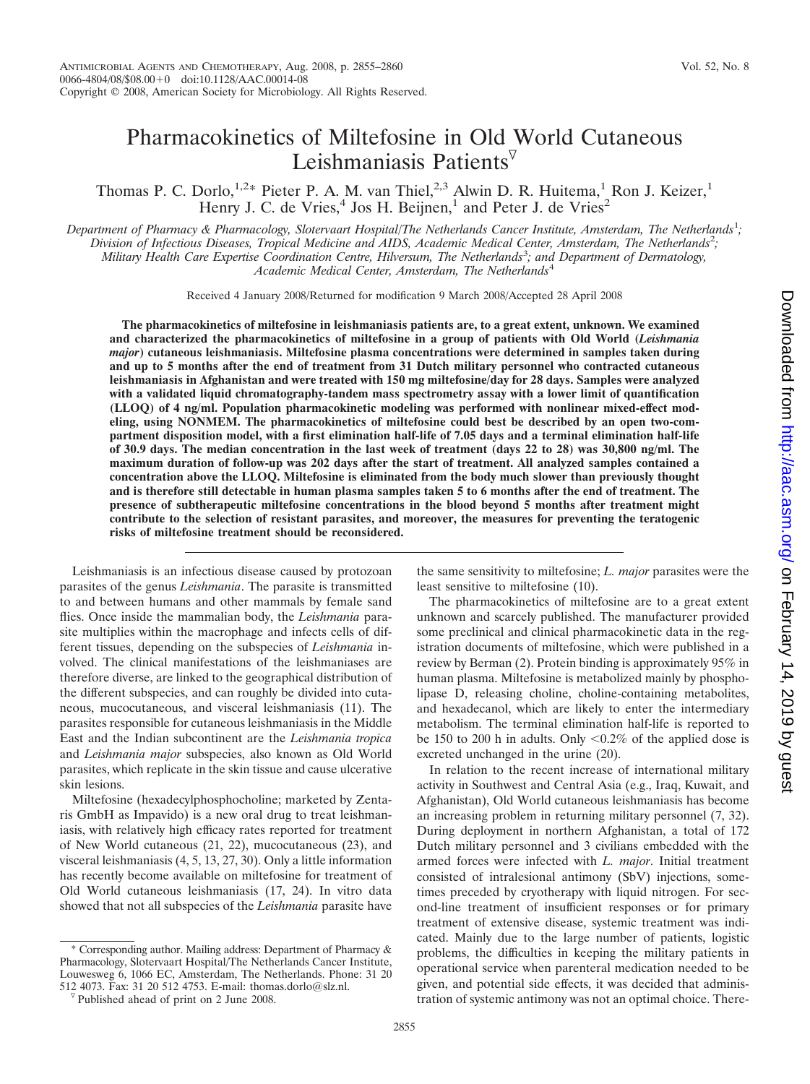# Pharmacokinetics of Miltefosine in Old World Cutaneous Leishmaniasis Patients

Thomas P. C. Dorlo,<sup>1,2\*</sup> Pieter P. A. M. van Thiel,<sup>2,3</sup> Alwin D. R. Huitema,<sup>1</sup> Ron J. Keizer,<sup>1</sup> Henry J. C. de Vries,<sup>4</sup> Jos H. Beijnen,<sup>1</sup> and Peter J. de Vries<sup>2</sup>

*Department of Pharmacy & Pharmacology, Slotervaart Hospital/The Netherlands Cancer Institute, Amsterdam, The Netherlands*<sup>1</sup> *;* Division of Infectious Diseases, Tropical Medicine and AIDS, Academic Medical Center, Amsterdam, The Netherlands<sup>2</sup>; *Military Health Care Expertise Coordination Centre, Hilversum, The Netherlands*<sup>3</sup> *; and Department of Dermatology, Academic Medical Center, Amsterdam, The Netherlands*<sup>4</sup>

Received 4 January 2008/Returned for modification 9 March 2008/Accepted 28 April 2008

**The pharmacokinetics of miltefosine in leishmaniasis patients are, to a great extent, unknown. We examined and characterized the pharmacokinetics of miltefosine in a group of patients with Old World (***Leishmania major***) cutaneous leishmaniasis. Miltefosine plasma concentrations were determined in samples taken during and up to 5 months after the end of treatment from 31 Dutch military personnel who contracted cutaneous leishmaniasis in Afghanistan and were treated with 150 mg miltefosine/day for 28 days. Samples were analyzed with a validated liquid chromatography-tandem mass spectrometry assay with a lower limit of quantification (LLOQ) of 4 ng/ml. Population pharmacokinetic modeling was performed with nonlinear mixed-effect modeling, using NONMEM. The pharmacokinetics of miltefosine could best be described by an open two-compartment disposition model, with a first elimination half-life of 7.05 days and a terminal elimination half-life of 30.9 days. The median concentration in the last week of treatment (days 22 to 28) was 30,800 ng/ml. The maximum duration of follow-up was 202 days after the start of treatment. All analyzed samples contained a concentration above the LLOQ. Miltefosine is eliminated from the body much slower than previously thought and is therefore still detectable in human plasma samples taken 5 to 6 months after the end of treatment. The presence of subtherapeutic miltefosine concentrations in the blood beyond 5 months after treatment might contribute to the selection of resistant parasites, and moreover, the measures for preventing the teratogenic risks of miltefosine treatment should be reconsidered.**

Leishmaniasis is an infectious disease caused by protozoan parasites of the genus *Leishmania*. The parasite is transmitted to and between humans and other mammals by female sand flies. Once inside the mammalian body, the *Leishmania* parasite multiplies within the macrophage and infects cells of different tissues, depending on the subspecies of *Leishmania* involved. The clinical manifestations of the leishmaniases are therefore diverse, are linked to the geographical distribution of the different subspecies, and can roughly be divided into cutaneous, mucocutaneous, and visceral leishmaniasis (11). The parasites responsible for cutaneous leishmaniasis in the Middle East and the Indian subcontinent are the *Leishmania tropica* and *Leishmania major* subspecies, also known as Old World parasites, which replicate in the skin tissue and cause ulcerative skin lesions.

Miltefosine (hexadecylphosphocholine; marketed by Zentaris GmbH as Impavido) is a new oral drug to treat leishmaniasis, with relatively high efficacy rates reported for treatment of New World cutaneous (21, 22), mucocutaneous (23), and visceral leishmaniasis (4, 5, 13, 27, 30). Only a little information has recently become available on miltefosine for treatment of Old World cutaneous leishmaniasis (17, 24). In vitro data showed that not all subspecies of the *Leishmania* parasite have

\* Corresponding author. Mailing address: Department of Pharmacy & Pharmacology, Slotervaart Hospital/The Netherlands Cancer Institute, Louwesweg 6, 1066 EC, Amsterdam, The Netherlands. Phone: 31 20 512 4073. Fax: 31 20 512 4753. E-mail: thomas.dorlo@slz.nl. Published ahead of print on 2 June 2008.

the same sensitivity to miltefosine; *L. major* parasites were the least sensitive to miltefosine (10).

The pharmacokinetics of miltefosine are to a great extent unknown and scarcely published. The manufacturer provided some preclinical and clinical pharmacokinetic data in the registration documents of miltefosine, which were published in a review by Berman (2). Protein binding is approximately 95% in human plasma. Miltefosine is metabolized mainly by phospholipase D, releasing choline, choline-containing metabolites, and hexadecanol, which are likely to enter the intermediary metabolism. The terminal elimination half-life is reported to be 150 to 200 h in adults. Only  $\leq 0.2\%$  of the applied dose is excreted unchanged in the urine (20).

In relation to the recent increase of international military activity in Southwest and Central Asia (e.g., Iraq, Kuwait, and Afghanistan), Old World cutaneous leishmaniasis has become an increasing problem in returning military personnel (7, 32). During deployment in northern Afghanistan, a total of 172 Dutch military personnel and 3 civilians embedded with the armed forces were infected with *L. major*. Initial treatment consisted of intralesional antimony (SbV) injections, sometimes preceded by cryotherapy with liquid nitrogen. For second-line treatment of insufficient responses or for primary treatment of extensive disease, systemic treatment was indicated. Mainly due to the large number of patients, logistic problems, the difficulties in keeping the military patients in operational service when parenteral medication needed to be given, and potential side effects, it was decided that administration of systemic antimony was not an optimal choice. There-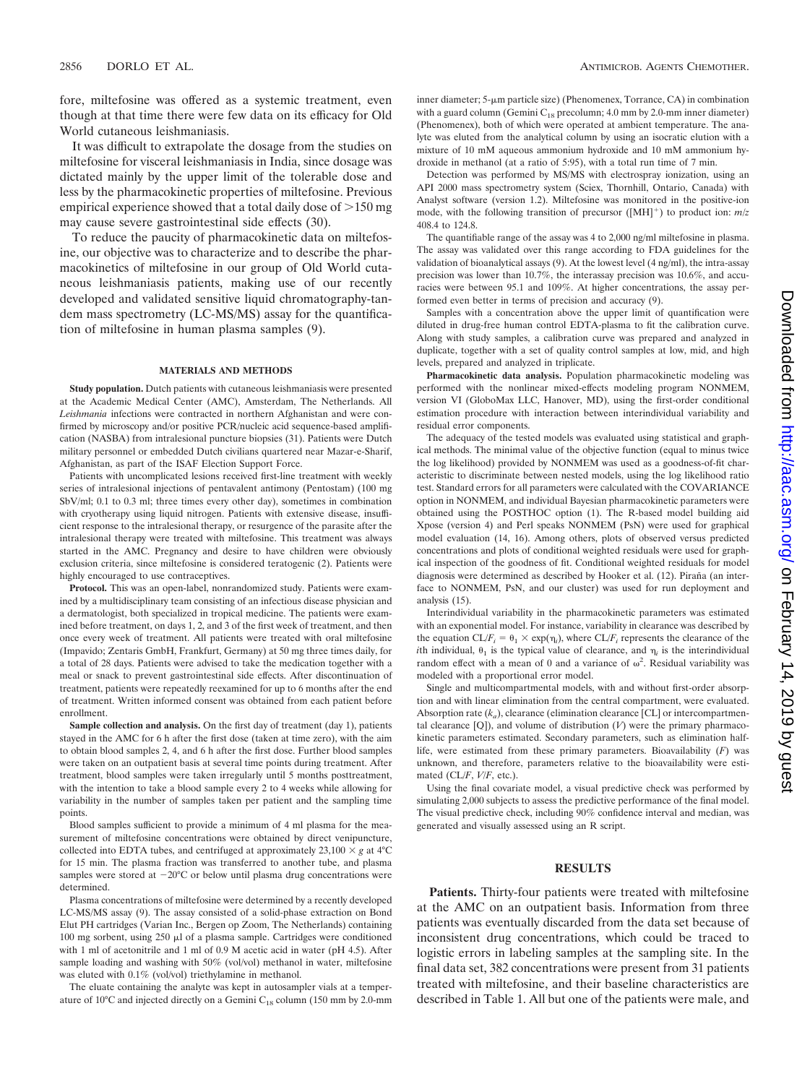fore, miltefosine was offered as a systemic treatment, even though at that time there were few data on its efficacy for Old World cutaneous leishmaniasis.

It was difficult to extrapolate the dosage from the studies on miltefosine for visceral leishmaniasis in India, since dosage was dictated mainly by the upper limit of the tolerable dose and less by the pharmacokinetic properties of miltefosine. Previous empirical experience showed that a total daily dose of  $>150$  mg may cause severe gastrointestinal side effects (30).

To reduce the paucity of pharmacokinetic data on miltefosine, our objective was to characterize and to describe the pharmacokinetics of miltefosine in our group of Old World cutaneous leishmaniasis patients, making use of our recently developed and validated sensitive liquid chromatography-tandem mass spectrometry (LC-MS/MS) assay for the quantification of miltefosine in human plasma samples (9).

#### **MATERIALS AND METHODS**

**Study population.** Dutch patients with cutaneous leishmaniasis were presented at the Academic Medical Center (AMC), Amsterdam, The Netherlands. All *Leishmania* infections were contracted in northern Afghanistan and were confirmed by microscopy and/or positive PCR/nucleic acid sequence-based amplification (NASBA) from intralesional puncture biopsies (31). Patients were Dutch military personnel or embedded Dutch civilians quartered near Mazar-e-Sharif, Afghanistan, as part of the ISAF Election Support Force.

Patients with uncomplicated lesions received first-line treatment with weekly series of intralesional injections of pentavalent antimony (Pentostam) (100 mg SbV/ml; 0.1 to 0.3 ml; three times every other day), sometimes in combination with cryotherapy using liquid nitrogen. Patients with extensive disease, insufficient response to the intralesional therapy, or resurgence of the parasite after the intralesional therapy were treated with miltefosine. This treatment was always started in the AMC. Pregnancy and desire to have children were obviously exclusion criteria, since miltefosine is considered teratogenic (2). Patients were highly encouraged to use contraceptives.

**Protocol.** This was an open-label, nonrandomized study. Patients were examined by a multidisciplinary team consisting of an infectious disease physician and a dermatologist, both specialized in tropical medicine. The patients were examined before treatment, on days 1, 2, and 3 of the first week of treatment, and then once every week of treatment. All patients were treated with oral miltefosine (Impavido; Zentaris GmbH, Frankfurt, Germany) at 50 mg three times daily, for a total of 28 days. Patients were advised to take the medication together with a meal or snack to prevent gastrointestinal side effects. After discontinuation of treatment, patients were repeatedly reexamined for up to 6 months after the end of treatment. Written informed consent was obtained from each patient before enrollment.

**Sample collection and analysis.** On the first day of treatment (day 1), patients stayed in the AMC for 6 h after the first dose (taken at time zero), with the aim to obtain blood samples 2, 4, and 6 h after the first dose. Further blood samples were taken on an outpatient basis at several time points during treatment. After treatment, blood samples were taken irregularly until 5 months posttreatment, with the intention to take a blood sample every 2 to 4 weeks while allowing for variability in the number of samples taken per patient and the sampling time points.

Blood samples sufficient to provide a minimum of 4 ml plasma for the measurement of miltefosine concentrations were obtained by direct venipuncture, collected into EDTA tubes, and centrifuged at approximately  $23,100 \times g$  at  $4^{\circ}$ C for 15 min. The plasma fraction was transferred to another tube, and plasma samples were stored at  $-20^{\circ}$ C or below until plasma drug concentrations were determined.

Plasma concentrations of miltefosine were determined by a recently developed LC-MS/MS assay (9). The assay consisted of a solid-phase extraction on Bond Elut PH cartridges (Varian Inc., Bergen op Zoom, The Netherlands) containing 100 mg sorbent, using 250  $\mu$ l of a plasma sample. Cartridges were conditioned with 1 ml of acetonitrile and 1 ml of 0.9 M acetic acid in water (pH 4.5). After sample loading and washing with 50% (vol/vol) methanol in water, miltefosine was eluted with 0.1% (vol/vol) triethylamine in methanol.

The eluate containing the analyte was kept in autosampler vials at a temperature of 10°C and injected directly on a Gemini  $C_{18}$  column (150 mm by 2.0-mm inner diameter;  $5-\mu m$  particle size) (Phenomenex, Torrance, CA) in combination with a guard column (Gemini  $C_{18}$  precolumn; 4.0 mm by 2.0-mm inner diameter) (Phenomenex), both of which were operated at ambient temperature. The analyte was eluted from the analytical column by using an isocratic elution with a mixture of 10 mM aqueous ammonium hydroxide and 10 mM ammonium hydroxide in methanol (at a ratio of 5:95), with a total run time of 7 min.

Detection was performed by MS/MS with electrospray ionization, using an API 2000 mass spectrometry system (Sciex, Thornhill, Ontario, Canada) with Analyst software (version 1.2). Miltefosine was monitored in the positive-ion mode, with the following transition of precursor ([MH]<sup>+</sup>) to product ion:  $m/z$ 408.4 to 124.8.

The quantifiable range of the assay was 4 to 2,000 ng/ml miltefosine in plasma. The assay was validated over this range according to FDA guidelines for the validation of bioanalytical assays (9). At the lowest level (4 ng/ml), the intra-assay precision was lower than 10.7%, the interassay precision was 10.6%, and accuracies were between 95.1 and 109%. At higher concentrations, the assay performed even better in terms of precision and accuracy (9).

Samples with a concentration above the upper limit of quantification were diluted in drug-free human control EDTA-plasma to fit the calibration curve. Along with study samples, a calibration curve was prepared and analyzed in duplicate, together with a set of quality control samples at low, mid, and high levels, prepared and analyzed in triplicate.

**Pharmacokinetic data analysis.** Population pharmacokinetic modeling was performed with the nonlinear mixed-effects modeling program NONMEM, version VI (GloboMax LLC, Hanover, MD), using the first-order conditional estimation procedure with interaction between interindividual variability and residual error components.

The adequacy of the tested models was evaluated using statistical and graphical methods. The minimal value of the objective function (equal to minus twice the log likelihood) provided by NONMEM was used as a goodness-of-fit characteristic to discriminate between nested models, using the log likelihood ratio test. Standard errors for all parameters were calculated with the COVARIANCE option in NONMEM, and individual Bayesian pharmacokinetic parameters were obtained using the POSTHOC option (1). The R-based model building aid Xpose (version 4) and Perl speaks NONMEM (PsN) were used for graphical model evaluation (14, 16). Among others, plots of observed versus predicted concentrations and plots of conditional weighted residuals were used for graphical inspection of the goodness of fit. Conditional weighted residuals for model diagnosis were determined as described by Hooker et al. (12). Piraña (an interface to NONMEM, PsN, and our cluster) was used for run deployment and analysis (15).

Interindividual variability in the pharmacokinetic parameters was estimated with an exponential model. For instance, variability in clearance was described by the equation  $CL/F_i = \theta_1 \times \exp(\eta_i)$ , where  $CL/F_i$  represents the clearance of the *i*th individual,  $\theta_1$  is the typical value of clearance, and  $\eta_i$  is the interindividual random effect with a mean of 0 and a variance of  $\omega^2$ . Residual variability was modeled with a proportional error model.

Single and multicompartmental models, with and without first-order absorption and with linear elimination from the central compartment, were evaluated. Absorption rate  $(k_a)$ , clearance (elimination clearance [CL] or intercompartmental clearance [Q]), and volume of distribution (*V*) were the primary pharmacokinetic parameters estimated. Secondary parameters, such as elimination halflife, were estimated from these primary parameters. Bioavailability (*F*) was unknown, and therefore, parameters relative to the bioavailability were estimated (CL/*F*, *V*/*F*, etc.).

Using the final covariate model, a visual predictive check was performed by simulating 2,000 subjects to assess the predictive performance of the final model. The visual predictive check, including 90% confidence interval and median, was generated and visually assessed using an R script.

## **RESULTS**

**Patients.** Thirty-four patients were treated with miltefosine at the AMC on an outpatient basis. Information from three patients was eventually discarded from the data set because of inconsistent drug concentrations, which could be traced to logistic errors in labeling samples at the sampling site. In the final data set, 382 concentrations were present from 31 patients treated with miltefosine, and their baseline characteristics are described in Table 1. All but one of the patients were male, and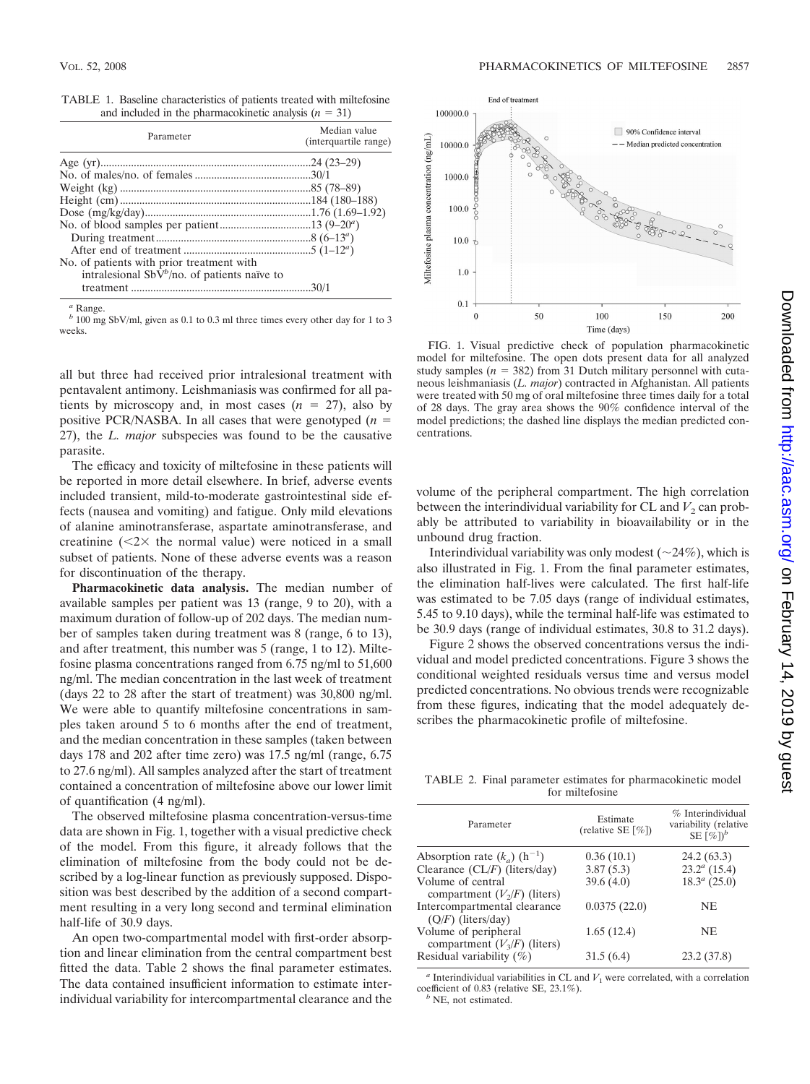|  | TABLE 1. Baseline characteristics of patients treated with miltefosine |  |  |
|--|------------------------------------------------------------------------|--|--|
|  | and included in the pharmacokinetic analysis $(n = 31)$                |  |  |

| Parameter                                                                                             | Median value<br>(interguartile range) |
|-------------------------------------------------------------------------------------------------------|---------------------------------------|
|                                                                                                       |                                       |
|                                                                                                       |                                       |
|                                                                                                       |                                       |
|                                                                                                       |                                       |
|                                                                                                       |                                       |
|                                                                                                       |                                       |
|                                                                                                       |                                       |
|                                                                                                       |                                       |
| No. of patients with prior treatment with<br>intralesional SbV <sup>b</sup> /no. of patients naïve to |                                       |
|                                                                                                       |                                       |

*<sup>a</sup>* Range.

*<sup>b</sup>* 100 mg SbV/ml, given as 0.1 to 0.3 ml three times every other day for 1 to 3 weeks.

all but three had received prior intralesional treatment with pentavalent antimony. Leishmaniasis was confirmed for all patients by microscopy and, in most cases  $(n = 27)$ , also by positive PCR/NASBA. In all cases that were genotyped (*n* 27), the *L. major* subspecies was found to be the causative parasite.

The efficacy and toxicity of miltefosine in these patients will be reported in more detail elsewhere. In brief, adverse events included transient, mild-to-moderate gastrointestinal side effects (nausea and vomiting) and fatigue. Only mild elevations of alanine aminotransferase, aspartate aminotransferase, and creatinine  $(\leq 2 \times$  the normal value) were noticed in a small subset of patients. None of these adverse events was a reason for discontinuation of the therapy.

**Pharmacokinetic data analysis.** The median number of available samples per patient was 13 (range, 9 to 20), with a maximum duration of follow-up of 202 days. The median number of samples taken during treatment was 8 (range, 6 to 13), and after treatment, this number was 5 (range, 1 to 12). Miltefosine plasma concentrations ranged from 6.75 ng/ml to 51,600 ng/ml. The median concentration in the last week of treatment (days 22 to 28 after the start of treatment) was 30,800 ng/ml. We were able to quantify miltefosine concentrations in samples taken around 5 to 6 months after the end of treatment, and the median concentration in these samples (taken between days 178 and 202 after time zero) was 17.5 ng/ml (range, 6.75 to 27.6 ng/ml). All samples analyzed after the start of treatment contained a concentration of miltefosine above our lower limit of quantification (4 ng/ml).

The observed miltefosine plasma concentration-versus-time data are shown in Fig. 1, together with a visual predictive check of the model. From this figure, it already follows that the elimination of miltefosine from the body could not be described by a log-linear function as previously supposed. Disposition was best described by the addition of a second compartment resulting in a very long second and terminal elimination half-life of 30.9 days.

An open two-compartmental model with first-order absorption and linear elimination from the central compartment best fitted the data. Table 2 shows the final parameter estimates. The data contained insufficient information to estimate interindividual variability for intercompartmental clearance and the



FIG. 1. Visual predictive check of population pharmacokinetic model for miltefosine. The open dots present data for all analyzed study samples  $(n = 382)$  from 31 Dutch military personnel with cutaneous leishmaniasis (*L. major*) contracted in Afghanistan. All patients were treated with 50 mg of oral miltefosine three times daily for a total of 28 days. The gray area shows the 90% confidence interval of the model predictions; the dashed line displays the median predicted concentrations.

volume of the peripheral compartment. The high correlation between the interindividual variability for CL and  $V_2$  can probably be attributed to variability in bioavailability or in the unbound drug fraction.

Interindividual variability was only modest  $(\sim 24\%)$ , which is also illustrated in Fig. 1. From the final parameter estimates, the elimination half-lives were calculated. The first half-life was estimated to be 7.05 days (range of individual estimates, 5.45 to 9.10 days), while the terminal half-life was estimated to be 30.9 days (range of individual estimates, 30.8 to 31.2 days).

Figure 2 shows the observed concentrations versus the individual and model predicted concentrations. Figure 3 shows the conditional weighted residuals versus time and versus model predicted concentrations. No obvious trends were recognizable from these figures, indicating that the model adequately describes the pharmacokinetic profile of miltefosine.

TABLE 2. Final parameter estimates for pharmacokinetic model for miltefosine

| Parameter                                  | Estimate<br>(relative SE $\lceil \% \rceil$ ) | % Interindividual<br>variability (relative<br>SE $[\%]$ <sup>b</sup> |
|--------------------------------------------|-----------------------------------------------|----------------------------------------------------------------------|
| Absorption rate $(k_a)$ (h <sup>-1</sup> ) | 0.36(10.1)                                    | 24.2(63.3)                                                           |
| Clearance $CL/F$ ) (liters/day)            | 3.87(5.3)                                     | $23.2^a(15.4)$                                                       |
| Volume of central                          | 39.6(4.0)                                     | $18.3^a$ (25.0)                                                      |
| compartment $(V_2/F)$ (liters)             |                                               |                                                                      |
| Intercompartmental clearance               | 0.0375(22.0)                                  | NE.                                                                  |
| $(Q/F)$ (liters/day)                       |                                               |                                                                      |
| Volume of peripheral                       | 1.65(12.4)                                    | NE.                                                                  |
| compartment $(V_3/F)$ (liters)             |                                               |                                                                      |
| Residual variability $(\%)$                | 31.5(6.4)                                     | 23.2 (37.8)                                                          |
|                                            |                                               |                                                                      |

 $a$  Interindividual variabilities in CL and  $V_1$  were correlated, with a correlation coefficient of 0.83 (relative SE, 23.1%). *<sup>b</sup>* NE, not estimated.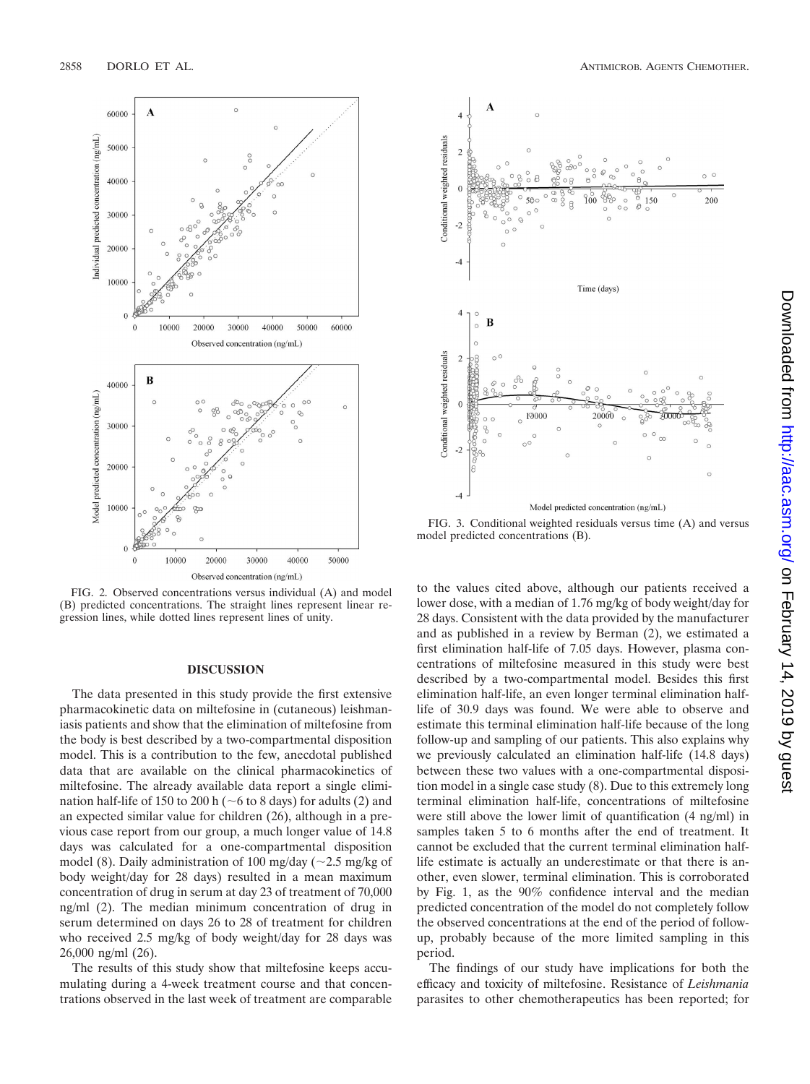

FIG. 2. Observed concentrations versus individual (A) and model (B) predicted concentrations. The straight lines represent linear regression lines, while dotted lines represent lines of unity.

## **DISCUSSION**

The data presented in this study provide the first extensive pharmacokinetic data on miltefosine in (cutaneous) leishmaniasis patients and show that the elimination of miltefosine from the body is best described by a two-compartmental disposition model. This is a contribution to the few, anecdotal published data that are available on the clinical pharmacokinetics of miltefosine. The already available data report a single elimination half-life of 150 to 200 h ( $\sim$ 6 to 8 days) for adults (2) and an expected similar value for children (26), although in a previous case report from our group, a much longer value of 14.8 days was calculated for a one-compartmental disposition model (8). Daily administration of 100 mg/day ( $\sim$ 2.5 mg/kg of body weight/day for 28 days) resulted in a mean maximum concentration of drug in serum at day 23 of treatment of 70,000 ng/ml (2). The median minimum concentration of drug in serum determined on days 26 to 28 of treatment for children who received 2.5 mg/kg of body weight/day for 28 days was 26,000 ng/ml (26).

The results of this study show that miltefosine keeps accumulating during a 4-week treatment course and that concentrations observed in the last week of treatment are comparable





FIG. 3. Conditional weighted residuals versus time (A) and versus model predicted concentrations (B).

to the values cited above, although our patients received a lower dose, with a median of 1.76 mg/kg of body weight/day for 28 days. Consistent with the data provided by the manufacturer and as published in a review by Berman (2), we estimated a first elimination half-life of 7.05 days. However, plasma concentrations of miltefosine measured in this study were best described by a two-compartmental model. Besides this first elimination half-life, an even longer terminal elimination halflife of 30.9 days was found. We were able to observe and estimate this terminal elimination half-life because of the long follow-up and sampling of our patients. This also explains why we previously calculated an elimination half-life (14.8 days) between these two values with a one-compartmental disposition model in a single case study (8). Due to this extremely long terminal elimination half-life, concentrations of miltefosine were still above the lower limit of quantification (4 ng/ml) in samples taken 5 to 6 months after the end of treatment. It cannot be excluded that the current terminal elimination halflife estimate is actually an underestimate or that there is another, even slower, terminal elimination. This is corroborated by Fig. 1, as the 90% confidence interval and the median predicted concentration of the model do not completely follow the observed concentrations at the end of the period of followup, probably because of the more limited sampling in this period.

The findings of our study have implications for both the efficacy and toxicity of miltefosine. Resistance of *Leishmania* parasites to other chemotherapeutics has been reported; for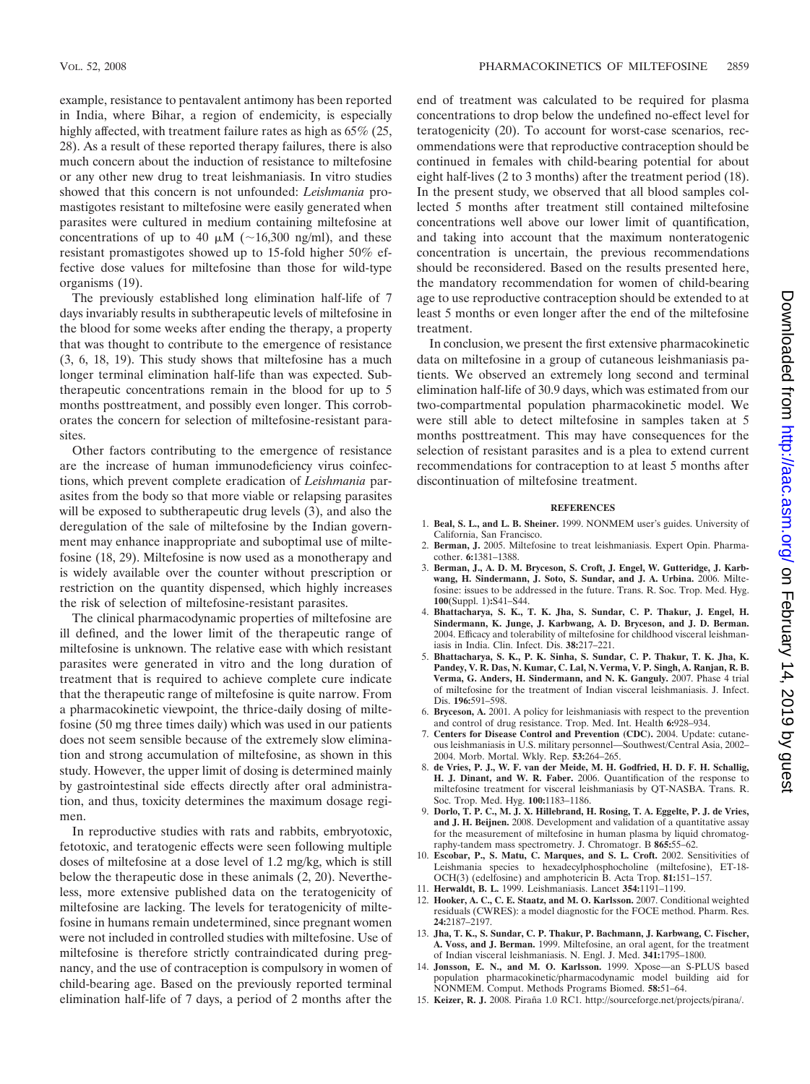example, resistance to pentavalent antimony has been reported in India, where Bihar, a region of endemicity, is especially highly affected, with treatment failure rates as high as 65% (25, 28). As a result of these reported therapy failures, there is also much concern about the induction of resistance to miltefosine or any other new drug to treat leishmaniasis. In vitro studies showed that this concern is not unfounded: *Leishmania* promastigotes resistant to miltefosine were easily generated when parasites were cultured in medium containing miltefosine at concentrations of up to 40  $\mu$ M (~16,300 ng/ml), and these resistant promastigotes showed up to 15-fold higher 50% effective dose values for miltefosine than those for wild-type organisms (19).

The previously established long elimination half-life of 7 days invariably results in subtherapeutic levels of miltefosine in the blood for some weeks after ending the therapy, a property that was thought to contribute to the emergence of resistance (3, 6, 18, 19). This study shows that miltefosine has a much longer terminal elimination half-life than was expected. Subtherapeutic concentrations remain in the blood for up to 5 months posttreatment, and possibly even longer. This corroborates the concern for selection of miltefosine-resistant parasites.

Other factors contributing to the emergence of resistance are the increase of human immunodeficiency virus coinfections, which prevent complete eradication of *Leishmania* parasites from the body so that more viable or relapsing parasites will be exposed to subtherapeutic drug levels (3), and also the deregulation of the sale of miltefosine by the Indian government may enhance inappropriate and suboptimal use of miltefosine (18, 29). Miltefosine is now used as a monotherapy and is widely available over the counter without prescription or restriction on the quantity dispensed, which highly increases the risk of selection of miltefosine-resistant parasites.

The clinical pharmacodynamic properties of miltefosine are ill defined, and the lower limit of the therapeutic range of miltefosine is unknown. The relative ease with which resistant parasites were generated in vitro and the long duration of treatment that is required to achieve complete cure indicate that the therapeutic range of miltefosine is quite narrow. From a pharmacokinetic viewpoint, the thrice-daily dosing of miltefosine (50 mg three times daily) which was used in our patients does not seem sensible because of the extremely slow elimination and strong accumulation of miltefosine, as shown in this study. However, the upper limit of dosing is determined mainly by gastrointestinal side effects directly after oral administration, and thus, toxicity determines the maximum dosage regimen.

In reproductive studies with rats and rabbits, embryotoxic, fetotoxic, and teratogenic effects were seen following multiple doses of miltefosine at a dose level of 1.2 mg/kg, which is still below the therapeutic dose in these animals (2, 20). Nevertheless, more extensive published data on the teratogenicity of miltefosine are lacking. The levels for teratogenicity of miltefosine in humans remain undetermined, since pregnant women were not included in controlled studies with miltefosine. Use of miltefosine is therefore strictly contraindicated during pregnancy, and the use of contraception is compulsory in women of child-bearing age. Based on the previously reported terminal elimination half-life of 7 days, a period of 2 months after the

end of treatment was calculated to be required for plasma concentrations to drop below the undefined no-effect level for teratogenicity (20). To account for worst-case scenarios, recommendations were that reproductive contraception should be continued in females with child-bearing potential for about eight half-lives (2 to 3 months) after the treatment period (18). In the present study, we observed that all blood samples collected 5 months after treatment still contained miltefosine concentrations well above our lower limit of quantification, and taking into account that the maximum nonteratogenic concentration is uncertain, the previous recommendations should be reconsidered. Based on the results presented here, the mandatory recommendation for women of child-bearing age to use reproductive contraception should be extended to at least 5 months or even longer after the end of the miltefosine treatment.

In conclusion, we present the first extensive pharmacokinetic data on miltefosine in a group of cutaneous leishmaniasis patients. We observed an extremely long second and terminal elimination half-life of 30.9 days, which was estimated from our two-compartmental population pharmacokinetic model. We were still able to detect miltefosine in samples taken at 5 months posttreatment. This may have consequences for the selection of resistant parasites and is a plea to extend current recommendations for contraception to at least 5 months after discontinuation of miltefosine treatment.

### **REFERENCES**

- 1. **Beal, S. L., and L. B. Sheiner.** 1999. NONMEM user's guides. University of California, San Francisco.
- 2. **Berman, J.** 2005. Miltefosine to treat leishmaniasis. Expert Opin. Pharmacother. **6:**1381–1388.
- 3. **Berman, J., A. D. M. Bryceson, S. Croft, J. Engel, W. Gutteridge, J. Karbwang, H. Sindermann, J. Soto, S. Sundar, and J. A. Urbina.** 2006. Miltefosine: issues to be addressed in the future. Trans. R. Soc. Trop. Med. Hyg. **100**(Suppl. 1)**:**S41–S44.
- 4. **Bhattacharya, S. K., T. K. Jha, S. Sundar, C. P. Thakur, J. Engel, H. Sindermann, K. Junge, J. Karbwang, A. D. Bryceson, and J. D. Berman.** 2004. Efficacy and tolerability of miltefosine for childhood visceral leishmaniasis in India. Clin. Infect. Dis. **38:**217–221.
- 5. **Bhattacharya, S. K., P. K. Sinha, S. Sundar, C. P. Thakur, T. K. Jha, K. Pandey, V. R. Das, N. Kumar, C. Lal, N. Verma, V. P. Singh, A. Ranjan, R. B. Verma, G. Anders, H. Sindermann, and N. K. Ganguly.** 2007. Phase 4 trial of miltefosine for the treatment of Indian visceral leishmaniasis. J. Infect. Dis. **196:**591–598.
- 6. **Bryceson, A.** 2001. A policy for leishmaniasis with respect to the prevention and control of drug resistance. Trop. Med. Int. Health **6:**928–934.
- 7. **Centers for Disease Control and Prevention (CDC).** 2004. Update: cutaneous leishmaniasis in U.S. military personnel—Southwest/Central Asia, 2002– 2004. Morb. Mortal. Wkly. Rep. **53:**264–265.
- 8. **de Vries, P. J., W. F. van der Meide, M. H. Godfried, H. D. F. H. Schallig, H. J. Dinant, and W. R. Faber.** 2006. Quantification of the response to miltefosine treatment for visceral leishmaniasis by QT-NASBA. Trans. R. Soc. Trop. Med. Hyg. **100:**1183–1186.
- 9. **Dorlo, T. P. C., M. J. X. Hillebrand, H. Rosing, T. A. Eggelte, P. J. de Vries, and J. H. Beijnen.** 2008. Development and validation of a quantitative assay for the measurement of miltefosine in human plasma by liquid chromatography-tandem mass spectrometry. J. Chromatogr. B **865:**55–62.
- 10. **Escobar, P., S. Matu, C. Marques, and S. L. Croft.** 2002. Sensitivities of Leishmania species to hexadecylphosphocholine (miltefosine), ET-18- OCH(3) (edelfosine) and amphotericin B. Acta Trop. **81:**151–157.
- 11. **Herwaldt, B. L.** 1999. Leishmaniasis. Lancet **354:**1191–1199.
- 12. **Hooker, A. C., C. E. Staatz, and M. O. Karlsson.** 2007. Conditional weighted residuals (CWRES): a model diagnostic for the FOCE method. Pharm. Res. **24:**2187–2197.
- 13. **Jha, T. K., S. Sundar, C. P. Thakur, P. Bachmann, J. Karbwang, C. Fischer, A. Voss, and J. Berman.** 1999. Miltefosine, an oral agent, for the treatment of Indian visceral leishmaniasis. N. Engl. J. Med. **341:**1795–1800.
- 14. **Jonsson, E. N., and M. O. Karlsson.** 1999. Xpose—an S-PLUS based population pharmacokinetic/pharmacodynamic model building aid for NONMEM. Comput. Methods Programs Biomed. **58:**51–64.
- 15. Keizer, R. J. 2008. Piraña 1.0 RC1. http://sourceforge.net/projects/pirana/.